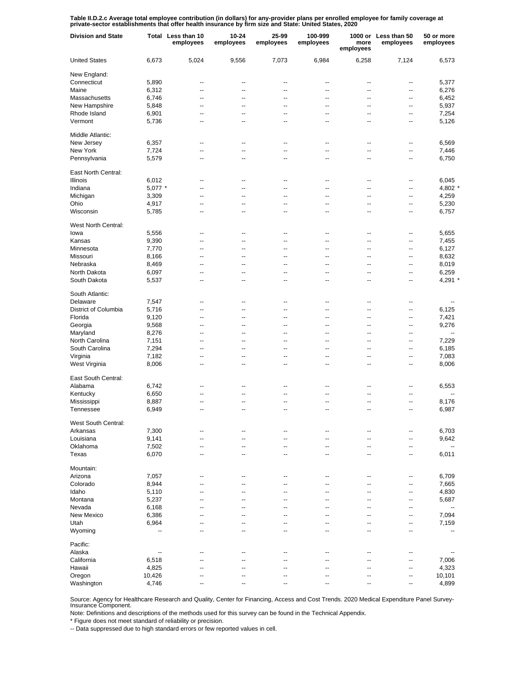Table II.D.2.c Average total employee contribution (in dollars) for any-provider plans per enrolled employee for family coverage at<br>private-sector establishments that offer health insurance by firm size and State: United S

| <b>Division and State</b> |           | Total Less than 10<br>employees | $10 - 24$<br>employees | 25-99<br>employees | 100-999<br>employees     | more<br>employees | 1000 or Less than 50<br>employees | 50 or more<br>employees  |
|---------------------------|-----------|---------------------------------|------------------------|--------------------|--------------------------|-------------------|-----------------------------------|--------------------------|
| <b>United States</b>      | 6,673     | 5,024                           | 9,556                  | 7,073              | 6,984                    | 6,258             | 7,124                             | 6,573                    |
| New England:              |           |                                 |                        |                    |                          |                   |                                   |                          |
| Connecticut               | 5,890     | --                              | --                     | --                 | $\overline{\phantom{a}}$ | --                | --                                | 5,377                    |
| Maine                     | 6,312     | --                              | --                     | --                 | $\overline{\phantom{a}}$ | --                | --                                | 6,276                    |
| Massachusetts             | 6,746     | --                              | --                     | --                 | $\overline{\phantom{a}}$ | --                | --                                | 6,452                    |
| New Hampshire             | 5,848     | --                              | --                     | --                 | $\overline{\phantom{a}}$ | --                | --                                | 5,937                    |
| Rhode Island              | 6,901     | --                              | --                     | --                 | $\overline{\phantom{a}}$ | --                | --                                | 7,254                    |
| Vermont                   | 5,736     | --                              | --                     | --                 | $\overline{\phantom{a}}$ | --                | --                                | 5,126                    |
| Middle Atlantic:          |           |                                 |                        |                    |                          |                   |                                   |                          |
| New Jersey                | 6,357     | $\overline{a}$                  | $\overline{a}$         | $\overline{a}$     | $\overline{a}$           | $\overline{a}$    | --                                | 6,569                    |
| New York                  | 7,724     | ۵.                              | $\overline{a}$         | $\overline{a}$     | $\overline{a}$           | $\overline{a}$    | --                                | 7,446                    |
| Pennsylvania              | 5,579     | --                              | $\overline{a}$         | $\overline{a}$     | $\overline{\phantom{a}}$ | $\overline{a}$    | --                                | 6,750                    |
| East North Central:       |           |                                 |                        |                    |                          |                   |                                   |                          |
| Illinois                  | 6,012     | --                              | ц.                     | ٠.                 | ٠.                       | ц.                | ۰.                                | 6,045                    |
| Indiana                   | $5,077$ * | --                              | --                     | --                 | --                       | --                | --                                | 4,802                    |
| Michigan                  | 3,309     | --                              | ٠.                     | --                 | --                       | ٠.                | --                                | 4,259                    |
| Ohio                      | 4,917     | --                              | --                     | --                 | $\overline{\phantom{a}}$ | --                | --                                | 5,230                    |
| Wisconsin                 | 5,785     | --                              | ٠.                     | --                 | ٠.                       | ٠.                | --                                | 6,757                    |
| West North Central:       |           |                                 |                        |                    |                          |                   |                                   |                          |
| lowa                      | 5,556     | --                              | --                     | --                 | $\overline{\phantom{a}}$ | --                | --                                | 5,655                    |
| Kansas                    | 9,390     | --                              | --                     | --                 | $\overline{\phantom{a}}$ | --                | --                                | 7,455                    |
| Minnesota                 | 7,770     | --                              | --                     | --                 | $\overline{\phantom{a}}$ | --                | --                                | 6,127                    |
| Missouri                  | 8,166     | --                              | --                     | --                 | $\overline{\phantom{a}}$ | --                | --                                | 8,632                    |
| Nebraska                  | 8,469     | $\overline{a}$                  | $\overline{a}$         | $\overline{a}$     | $\overline{a}$           | --                | --                                | 8,019                    |
| North Dakota              | 6,097     | --                              | --                     | --                 | $\overline{\phantom{a}}$ | --                | --                                | 6,259                    |
| South Dakota              | 5,537     | --                              | --                     | --                 | $\overline{a}$           | --                | --                                | $4,291$ *                |
| South Atlantic:           |           |                                 |                        |                    |                          |                   |                                   |                          |
| Delaware                  | 7,547     | --                              | --                     | --                 | --                       | --                | ٠.                                |                          |
| District of Columbia      | 5,716     | $\overline{a}$                  | $\overline{a}$         | $\overline{a}$     | $\overline{\phantom{a}}$ | $\overline{a}$    | --                                | 6,125                    |
| Florida                   | 9,120     | $\overline{a}$                  | $\overline{a}$         | $\overline{a}$     | $\overline{\phantom{a}}$ | $\overline{a}$    | --                                | 7,421                    |
| Georgia                   | 9,568     | $\overline{a}$                  | $\overline{a}$         | $\overline{a}$     | ÷.                       | $\overline{a}$    | --                                | 9,276                    |
| Maryland                  | 8,276     | $\overline{a}$                  | $\overline{a}$         | $\overline{a}$     | $\overline{\phantom{a}}$ | $\overline{a}$    | --                                | $\overline{a}$           |
| North Carolina            | 7,151     | $\overline{a}$                  | $\overline{a}$         | $\overline{a}$     | $\overline{\phantom{a}}$ | $\overline{a}$    | --                                | 7,229                    |
| South Carolina            | 7,294     | $\overline{a}$                  | $\overline{a}$         | $\overline{a}$     | $\overline{\phantom{a}}$ | $\overline{a}$    | --                                | 6,185                    |
| Virginia                  | 7,182     | ۵.                              | $\overline{a}$         | $\overline{a}$     | $\overline{\phantom{a}}$ | $\overline{a}$    | --                                | 7,083                    |
| West Virginia             | 8,006     | ۵.                              | $\overline{a}$         | $\overline{a}$     | $\overline{\phantom{a}}$ | $\overline{a}$    | ٠.                                | 8,006                    |
| East South Central:       |           |                                 |                        |                    |                          |                   |                                   |                          |
| Alabama                   | 6,742     | --                              | ц.                     | ٠.                 | ٠.                       | ц.                | ۰.                                | 6,553                    |
| Kentucky                  | 6,650     | --                              | ٠.                     | --                 | ٠.                       | ٠.                | --                                | --                       |
| Mississippi               | 8,887     | --                              | ٠.                     | --                 | ٠.                       | ٠.                | --                                | 8,176                    |
| Tennessee                 | 6,949     | --                              | ٠.                     | --                 | ٠.                       | ٠.                | --                                | 6,987                    |
| West South Central:       |           |                                 |                        |                    |                          |                   |                                   |                          |
| Arkansas                  | 7,300     | --                              | --                     | --                 | --                       | --                | --                                | 6,703                    |
| Louisiana                 | 9,141     | --                              | --                     | --                 | $\overline{\phantom{a}}$ | --                |                                   | 9,642                    |
| Oklahoma                  | 7,502     | --                              | --                     | --                 | $\overline{\phantom{a}}$ | --                | ۰.<br>--                          | $\overline{\phantom{a}}$ |
| Texas                     | 6,070     | --                              | --                     | --                 | $\overline{\phantom{a}}$ | --                | --                                | 6,011                    |
|                           |           |                                 |                        |                    |                          |                   |                                   |                          |
| Mountain:                 |           |                                 |                        |                    |                          |                   |                                   | 6,709                    |
| Arizona                   | 7,057     | --                              | ц.                     | ٠.                 | ц.                       | ц.                | --                                |                          |
| Colorado                  | 8,944     | Ξ.                              | ц,                     | ц.                 | Ξ.                       | $\overline{a}$    | --                                | 7,665                    |
| Idaho                     | 5,110     | Ξ.                              | ц,                     | ц.                 | Ξ.                       | $\overline{a}$    | --                                | 4,830                    |
| Montana                   | 5,237     | $\overline{a}$                  | $\overline{a}$         | $\overline{a}$     | Ξ.                       | $\overline{a}$    | --                                | 5,687                    |
| Nevada                    | 6,168     | Ξ.                              | ц,                     | $\overline{a}$     | Ξ.                       | $\overline{a}$    | --                                | $\overline{a}$           |
| New Mexico                | 6,386     | ۵.                              | $\overline{a}$         | $\overline{a}$     | Ξ.                       | $\overline{a}$    | --                                | 7,094                    |
| Utah                      | 6,964     | Ξ.                              | ä.                     | Ξ.                 | ÷.                       | ä.                | --                                | 7,159                    |
| Wyoming                   | --        | ۵.                              | ц,                     | Ξ.                 | ÷.                       | ä.                | --                                | --                       |
| Pacific:                  |           |                                 |                        |                    |                          |                   |                                   |                          |
| Alaska                    | --        | --                              | ٠.                     | --                 | ٠.                       | ٠.                | ۰.                                |                          |
| California                | 6,518     |                                 |                        |                    |                          |                   | --                                | 7,006                    |
| Hawaii                    | 4,825     | --                              | ٠.                     | --                 | ٠.                       | --                | --                                | 4,323                    |
| Oregon                    | 10,426    | --                              | ٠.                     | --                 | ٠.                       | ٠.                | --                                | 10,101                   |
| Washington                | 4,746     | --                              | --                     | --                 | --                       | --                | --                                | 4,899                    |

Source: Agency for Healthcare Research and Quality, Center for Financing, Access and Cost Trends. 2020 Medical Expenditure Panel Survey-Insurance Component.

Note: Definitions and descriptions of the methods used for this survey can be found in the Technical Appendix.

\* Figure does not meet standard of reliability or precision.

-- Data suppressed due to high standard errors or few reported values in cell.